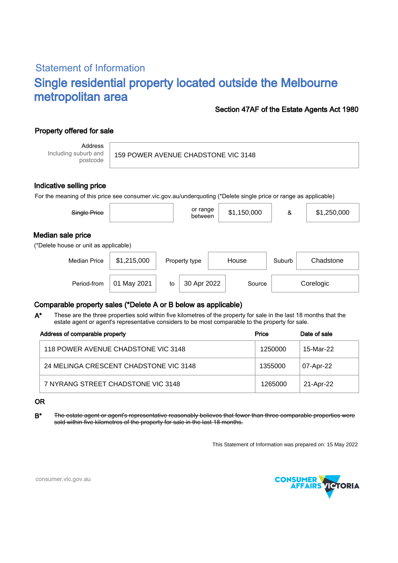# Statement of Information Single residential property located outside the Melbourne metropolitan area

#### Section 47AF of the Estate Agents Act 1980

## Property offered for sale

Address Including suburb and postcode

159 POWER AVENUE CHADSTONE VIC 3148

#### Indicative selling price

For the meaning of this price see consumer.vic.gov.au/underquoting (\*Delete single price or range as applicable)

| Single Price                                               |             |    | or range<br>between |       | \$1,150,000 | &      | \$1,250,000 |  |
|------------------------------------------------------------|-------------|----|---------------------|-------|-------------|--------|-------------|--|
| Median sale price<br>(*Delete house or unit as applicable) |             |    |                     |       |             |        |             |  |
| <b>Median Price</b>                                        | \$1,215,000 |    | Property type       | House |             | Suburb | Chadstone   |  |
| Period-from                                                | May 2021    | to | 30 Apr 2022         |       | Source      |        | Corelogic   |  |

### Comparable property sales (\*Delete A or B below as applicable)

These are the three properties sold within five kilometres of the property for sale in the last 18 months that the estate agent or agent's representative considers to be most comparable to the property for sale. A\*

| Address of comparable property         | Price   | Date of sale |  |
|----------------------------------------|---------|--------------|--|
| 118 POWER AVENUE CHADSTONE VIC 3148    | 1250000 | 15-Mar-22    |  |
| 24 MELINGA CRESCENT CHADSTONE VIC 3148 | 1355000 | 07-Apr-22    |  |
| 7 NYRANG STREET CHADSTONE VIC 3148     | 1265000 | 21-Apr-22    |  |

#### OR

B\* The estate agent or agent's representative reasonably believes that fewer than three comparable properties were sold within five kilometres of the property for sale in the last 18 months.

This Statement of Information was prepared on: 15 May 2022



consumer.vic.gov.au